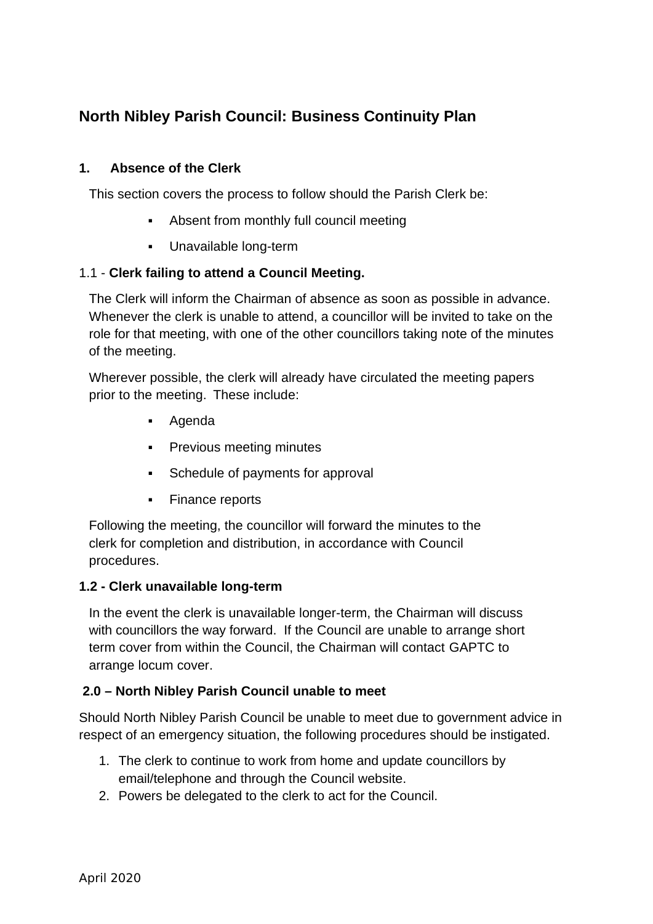# **North Nibley Parish Council: Business Continuity Plan**

## **1. Absence of the Clerk**

This section covers the process to follow should the Parish Clerk be:

- Absent from monthly full council meeting
- Unavailable long-term

### 1.1 - **Clerk failing to attend a Council Meeting.**

The Clerk will inform the Chairman of absence as soon as possible in advance. Whenever the clerk is unable to attend, a councillor will be invited to take on the role for that meeting, with one of the other councillors taking note of the minutes of the meeting.

Wherever possible, the clerk will already have circulated the meeting papers prior to the meeting. These include:

- Agenda
- **•** Previous meeting minutes
- **•** Schedule of payments for approval
- Finance reports

Following the meeting, the councillor will forward the minutes to the clerk for completion and distribution, in accordance with Council procedures.

### **1.2 - Clerk unavailable long-term**

In the event the clerk is unavailable longer-term, the Chairman will discuss with councillors the way forward. If the Council are unable to arrange short term cover from within the Council, the Chairman will contact GAPTC to arrange locum cover.

### **2.0 – North Nibley Parish Council unable to meet**

Should North Nibley Parish Council be unable to meet due to government advice in respect of an emergency situation, the following procedures should be instigated.

- 1. The clerk to continue to work from home and update councillors by email/telephone and through the Council website.
- 2. Powers be delegated to the clerk to act for the Council.